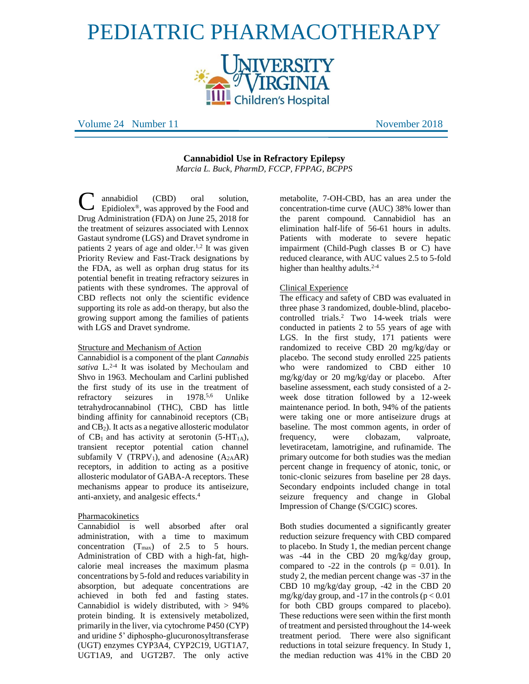# PEDIATRIC PHARMACOTHERAPY



Volume 24 Number 11 November 2018

**Cannabidiol Use in Refractory Epilepsy**  *Marcia L. Buck, PharmD, FCCP, FPPAG, BCPPS*

annabidiol (CBD) oral solution, Epidiolex®, was approved by the Food and Drug Administration (FDA) on June 25, 2018 for the treatment of seizures associated with Lennox Gastaut syndrome (LGS) and Dravet syndrome in patients 2 years of age and older.<sup>1,2</sup> It was given Priority Review and Fast-Track designations by the FDA, as well as orphan drug status for its potential benefit in treating refractory seizures in patients with these syndromes. The approval of CBD reflects not only the scientific evidence supporting its role as add-on therapy, but also the growing support among the families of patients with LGS and Dravet syndrome. C

# Structure and Mechanism of Action

Cannabidiol is a component of the plant *Cannabis*  sativa L.<sup>2-4</sup> It was isolated by Mechoulam and Shvo in 1963. Mechoulam and Carlini published the first study of its use in the treatment of refractory seizures in 1978.<sup>5,6</sup> Unlike tetrahydrocannabinol (THC), CBD has little binding affinity for cannabinoid receptors  $(CB_1)$ and CB2). It acts as a negative allosteric modulator of  $CB_1$  and has activity at serotonin (5-HT<sub>1A</sub>), transient receptor potential cation channel subfamily V (TRPV<sub>1</sub>), and adenosine  $(A_{2A}AR)$ receptors, in addition to acting as a positive allosteric modulator of GABA-A receptors. These mechanisms appear to produce its antiseizure, anti-anxiety, and analgesic effects. 4

# Pharmacokinetics

Cannabidiol is well absorbed after oral administration, with a time to maximum concentration  $(T_{max})$  of 2.5 to 5 hours. Administration of CBD with a high-fat, highcalorie meal increases the maximum plasma concentrations by 5-fold and reduces variability in absorption, but adequate concentrations are achieved in both fed and fasting states. Cannabidiol is widely distributed, with > 94% protein binding. It is extensively metabolized, primarily in the liver, via cytochrome P450 (CYP) and uridine 5' diphospho-glucuronosyltransferase (UGT) enzymes CYP3A4, CYP2C19, UGT1A7, UGT1A9, and UGT2B7. The only active

metabolite, 7-OH-CBD, has an area under the concentration-time curve (AUC) 38% lower than the parent compound. Cannabidiol has an elimination half-life of 56-61 hours in adults. Patients with moderate to severe hepatic impairment (Child-Pugh classes B or C) have reduced clearance, with AUC values 2.5 to 5-fold higher than healthy adults.<sup>2-4</sup>

# Clinical Experience

The efficacy and safety of CBD was evaluated in three phase 3 randomized, double-blind, placebocontrolled trials.<sup>2</sup> Two 14-week trials were conducted in patients 2 to 55 years of age with LGS. In the first study, 171 patients were randomized to receive CBD 20 mg/kg/day or placebo. The second study enrolled 225 patients who were randomized to CBD either 10 mg/kg/day or 20 mg/kg/day or placebo. After baseline assessment, each study consisted of a 2 week dose titration followed by a 12-week maintenance period. In both, 94% of the patients were taking one or more antiseizure drugs at baseline. The most common agents, in order of frequency, were clobazam, valproate, levetiracetam, lamotrigine, and rufinamide. The primary outcome for both studies was the median percent change in frequency of atonic, tonic, or tonic-clonic seizures from baseline per 28 days. Secondary endpoints included change in total seizure frequency and change in Global Impression of Change (S/CGIC) scores.

Both studies documented a significantly greater reduction seizure frequency with CBD compared to placebo. In Study 1, the median percent change was -44 in the CBD 20 mg/kg/day group, compared to  $-22$  in the controls ( $p = 0.01$ ). In study 2, the median percent change was -37 in the CBD 10 mg/kg/day group, -42 in the CBD 20 mg/kg/day group, and -17 in the controls ( $p < 0.01$ ) for both CBD groups compared to placebo). These reductions were seen within the first month of treatment and persisted throughout the 14-week treatment period. There were also significant reductions in total seizure frequency. In Study 1, the median reduction was 41% in the CBD 20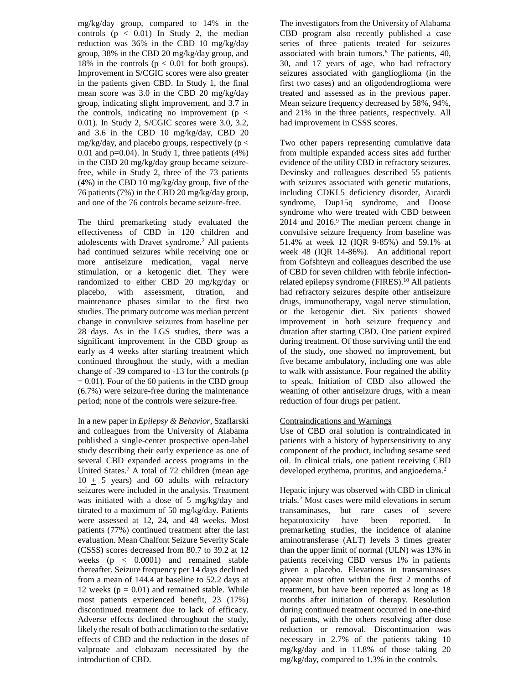mg/kg/day group, compared to 14% in the controls  $(p < 0.01)$  In Study 2, the median reduction was 36% in the CBD 10 mg/kg/day group, 38% in the CBD 20 mg/kg/day group, and 18% in the controls ( $p < 0.01$  for both groups). Improvement in S/CGIC scores were also greater in the patients given CBD. In Study 1, the final mean score was 3.0 in the CBD 20 mg/kg/day group, indicating slight improvement, and 3.7 in the controls, indicating no improvement ( $p <$ 0.01). In Study 2, S/CGIC scores were 3.0, 3.2, and 3.6 in the CBD 10 mg/kg/day, CBD 20 mg/kg/day, and placebo groups, respectively ( $p <$ 0.01 and  $p=0.04$ ). In Study 1, three patients  $(4%)$ in the CBD 20 mg/kg/day group became seizurefree, while in Study 2, three of the 73 patients (4%) in the CBD 10 mg/kg/day group, five of the 76 patients (7%) in the CBD 20 mg/kg/day group, and one of the 76 controls became seizure-free.

The third premarketing study evaluated the effectiveness of CBD in 120 children and adolescents with Dravet syndrome.<sup>2</sup> All patients had continued seizures while receiving one or more antiseizure medication, vagal nerve stimulation, or a ketogenic diet. They were randomized to either CBD 20 mg/kg/day or placebo, with assessment, titration, and maintenance phases similar to the first two studies. The primary outcome was median percent change in convulsive seizures from baseline per 28 days. As in the LGS studies, there was a significant improvement in the CBD group as early as 4 weeks after starting treatment which continued throughout the study, with a median change of -39 compared to -13 for the controls (p  $= 0.01$ ). Four of the 60 patients in the CBD group (6.7%) were seizure-free during the maintenance period; none of the controls were seizure-free.

In a new paper in *Epilepsy & Behavior*, Szaflarski and colleagues from the University of Alabama published a single-center prospective open-label study describing their early experience as one of several CBD expanded access programs in the United States. <sup>7</sup> A total of 72 children (mean age  $10 + 5$  years) and 60 adults with refractory seizures were included in the analysis. Treatment was initiated with a dose of 5 mg/kg/day and titrated to a maximum of 50 mg/kg/day. Patients were assessed at 12, 24, and 48 weeks. Most patients (77%) continued treatment after the last evaluation. Mean Chalfont Seizure Severity Scale (CSSS) scores decreased from 80.7 to 39.2 at 12 weeks (p < 0.0001) and remained stable thereafter. Seizure frequency per 14 days declined from a mean of 144.4 at baseline to 52.2 days at 12 weeks  $(p = 0.01)$  and remained stable. While most patients experienced benefit, 23 (17%) discontinued treatment due to lack of efficacy. Adverse effects declined throughout the study, likely the result of both acclimation to the sedative effects of CBD and the reduction in the doses of valproate and clobazam necessitated by the introduction of CBD.

The investigators from the University of Alabama CBD program also recently published a case series of three patients treated for seizures associated with brain tumors.<sup>8</sup> The patients, 40, 30, and 17 years of age, who had refractory seizures associated with ganglioglioma (in the first two cases) and an oligodendroglioma were treated and assessed as in the previous paper. Mean seizure frequency decreased by 58%, 94%, and 21% in the three patients, respectively. All had improvement in CSSS scores.

Two other papers representing cumulative data from multiple expanded access sites add further evidence of the utility CBD in refractory seizures. Devinsky and colleagues described 55 patients with seizures associated with genetic mutations, including CDKL5 deficiency disorder, Aicardi syndrome, Dup15q syndrome, and Doose syndrome who were treated with CBD between 2014 and 2016. <sup>9</sup> The median percent change in convulsive seizure frequency from baseline was 51.4% at week 12 (IQR 9-85%) and 59.1% at week 48 (IQR 14-86%). An additional report from Gofshteyn and colleagues described the use of CBD for seven children with febrile infectionrelated epilepsy syndrome (FIRES).<sup>10</sup> All patients had refractory seizures despite other antiseizure drugs, immunotherapy, vagal nerve stimulation, or the ketogenic diet. Six patients showed improvement in both seizure frequency and duration after starting CBD. One patient expired during treatment. Of those surviving until the end of the study, one showed no improvement, but five became ambulatory, including one was able to walk with assistance. Four regained the ability to speak. Initiation of CBD also allowed the weaning of other antiseizure drugs, with a mean reduction of four drugs per patient.

# Contraindications and Warnings

Use of CBD oral solution is contraindicated in patients with a history of hypersensitivity to any component of the product, including sesame seed oil. In clinical trials, one patient receiving CBD developed erythema, pruritus, and angioedema.<sup>2</sup>

Hepatic injury was observed with CBD in clinical trials. <sup>2</sup> Most cases were mild elevations in serum transaminases, but rare cases of severe hepatotoxicity have been reported. In premarketing studies, the incidence of alanine aminotransferase (ALT) levels 3 times greater than the upper limit of normal (ULN) was 13% in patients receiving CBD versus 1% in patients given a placebo. Elevations in transaminases appear most often within the first 2 months of treatment, but have been reported as long as 18 months after initiation of therapy. Resolution during continued treatment occurred in one-third of patients, with the others resolving after dose reduction or removal. Discontinuation was necessary in 2.7% of the patients taking 10 mg/kg/day and in 11.8% of those taking 20 mg/kg/day, compared to 1.3% in the controls.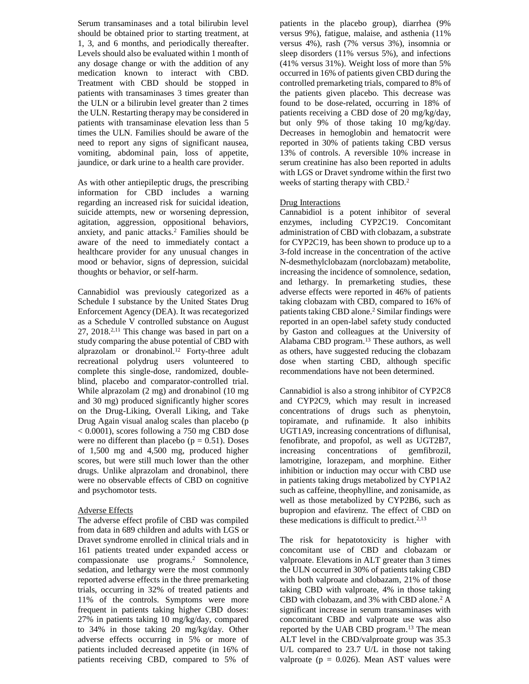Serum transaminases and a total bilirubin level should be obtained prior to starting treatment, at 1, 3, and 6 months, and periodically thereafter. Levels should also be evaluated within 1 month of any dosage change or with the addition of any medication known to interact with CBD. Treatment with CBD should be stopped in patients with transaminases 3 times greater than the ULN or a bilirubin level greater than 2 times the ULN. Restarting therapy may be considered in patients with transaminase elevation less than 5 times the ULN. Families should be aware of the need to report any signs of significant nausea, vomiting, abdominal pain, loss of appetite, jaundice, or dark urine to a health care provider.

As with other antiepileptic drugs, the prescribing information for CBD includes a warning regarding an increased risk for suicidal ideation, suicide attempts, new or worsening depression, agitation, aggression, oppositional behaviors, anxiety, and panic attacks.<sup>2</sup> Families should be aware of the need to immediately contact a healthcare provider for any unusual changes in mood or behavior, signs of depression, suicidal thoughts or behavior, or self-harm.

Cannabidiol was previously categorized as a Schedule I substance by the United States Drug Enforcement Agency (DEA). It was recategorized as a Schedule V controlled substance on August  $27, 2018$ <sup>2,11</sup> This change was based in part on a study comparing the abuse potential of CBD with alprazolam or dronabinol.<sup>12</sup> Forty-three adult recreational polydrug users volunteered to complete this single-dose, randomized, doubleblind, placebo and comparator-controlled trial. While alprazolam (2 mg) and dronabinol (10 mg and 30 mg) produced significantly higher scores on the Drug-Liking, Overall Liking, and Take Drug Again visual analog scales than placebo (p < 0.0001), scores following a 750 mg CBD dose were no different than placebo ( $p = 0.51$ ). Doses of 1,500 mg and 4,500 mg, produced higher scores, but were still much lower than the other drugs. Unlike alprazolam and dronabinol, there were no observable effects of CBD on cognitive and psychomotor tests.

# Adverse Effects

The adverse effect profile of CBD was compiled from data in 689 children and adults with LGS or Dravet syndrome enrolled in clinical trials and in 161 patients treated under expanded access or compassionate use programs.<sup>2</sup> Somnolence, sedation, and lethargy were the most commonly reported adverse effects in the three premarketing trials, occurring in 32% of treated patients and 11% of the controls. Symptoms were more frequent in patients taking higher CBD doses: 27% in patients taking 10 mg/kg/day, compared to 34% in those taking 20 mg/kg/day. Other adverse effects occurring in 5% or more of patients included decreased appetite (in 16% of patients receiving CBD, compared to 5% of

patients in the placebo group), diarrhea (9% versus 9%), fatigue, malaise, and asthenia (11% versus 4%), rash (7% versus 3%), insomnia or sleep disorders (11% versus 5%), and infections (41% versus 31%). Weight loss of more than 5% occurred in 16% of patients given CBD during the controlled premarketing trials, compared to 8% of the patients given placebo. This decrease was found to be dose-related, occurring in 18% of patients receiving a CBD dose of 20 mg/kg/day, but only 9% of those taking 10 mg/kg/day. Decreases in hemoglobin and hematocrit were reported in 30% of patients taking CBD versus 13% of controls. A reversible 10% increase in serum creatinine has also been reported in adults with LGS or Dravet syndrome within the first two weeks of starting therapy with CBD.<sup>2</sup>

# Drug Interactions

Cannabidiol is a potent inhibitor of several enzymes, including CYP2C19. Concomitant administration of CBD with clobazam, a substrate for CYP2C19, has been shown to produce up to a 3-fold increase in the concentration of the active N-desmethylclobazam (norclobazam) metabolite, increasing the incidence of somnolence, sedation, and lethargy. In premarketing studies, these adverse effects were reported in 46% of patients taking clobazam with CBD, compared to 16% of patients taking CBD alone.<sup>2</sup> Similar findings were reported in an open-label safety study conducted by Gaston and colleagues at the University of Alabama CBD program.<sup>13</sup> These authors, as well as others, have suggested reducing the clobazam dose when starting CBD, although specific recommendations have not been determined.

Cannabidiol is also a strong inhibitor of CYP2C8 and CYP2C9, which may result in increased concentrations of drugs such as phenytoin, topiramate, and rufinamide. It also inhibits UGT1A9, increasing concentrations of diflunisal, fenofibrate, and propofol, as well as UGT2B7, increasing concentrations of gemfibrozil, lamotrigine, lorazepam, and morphine. Either inhibition or induction may occur with CBD use in patients taking drugs metabolized by CYP1A2 such as caffeine, theophylline, and zonisamide, as well as those metabolized by CYP2B6, such as bupropion and efavirenz. The effect of CBD on these medications is difficult to predict. 2,13

The risk for hepatotoxicity is higher with concomitant use of CBD and clobazam or valproate. Elevations in ALT greater than 3 times the ULN occurred in 30% of patients taking CBD with both valproate and clobazam, 21% of those taking CBD with valproate, 4% in those taking CBD with clobazam, and 3% with CBD alone.<sup>2</sup> A significant increase in serum transaminases with concomitant CBD and valproate use was also reported by the UAB CBD program.<sup>13</sup> The mean ALT level in the CBD/valproate group was 35.3 U/L compared to 23.7 U/L in those not taking valproate ( $p = 0.026$ ). Mean AST values were